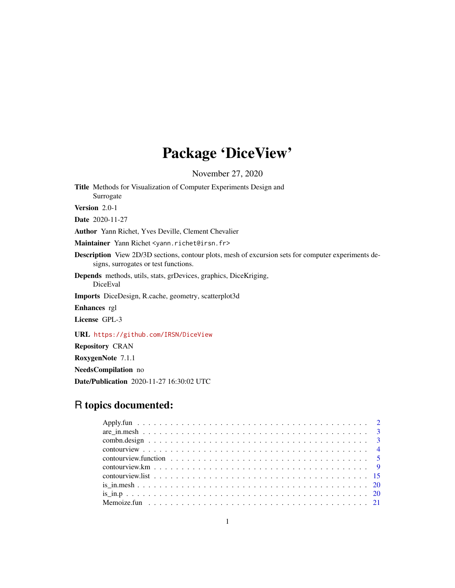# Package 'DiceView'

November 27, 2020

<span id="page-0-0"></span>Title Methods for Visualization of Computer Experiments Design and Surrogate Version 2.0-1

Date 2020-11-27

Author Yann Richet, Yves Deville, Clement Chevalier

Maintainer Yann Richet <yann.richet@irsn.fr>

Description View 2D/3D sections, contour plots, mesh of excursion sets for computer experiments designs, surrogates or test functions.

Depends methods, utils, stats, grDevices, graphics, DiceKriging, DiceEval

Imports DiceDesign, R.cache, geometry, scatterplot3d

Enhances rgl

License GPL-3

URL <https://github.com/IRSN/DiceView>

Repository CRAN

RoxygenNote 7.1.1

NeedsCompilation no

Date/Publication 2020-11-27 16:30:02 UTC

## R topics documented: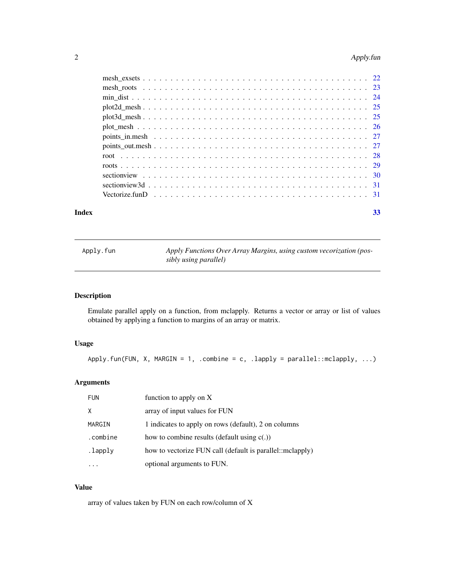## <span id="page-1-0"></span>2 Apply.fun

#### **Index** [33](#page-32-0)

Apply.fun *Apply Functions Over Array Margins, using custom vecorization (possibly using parallel)*

## Description

Emulate parallel apply on a function, from mclapply. Returns a vector or array or list of values obtained by applying a function to margins of an array or matrix.

## Usage

Apply.fun(FUN, X, MARGIN = 1, .combine = c, .lapply = parallel::mclapply, ...)

## Arguments

| <b>FUN</b> | function to apply on X                                    |
|------------|-----------------------------------------------------------|
| Χ          | array of input values for FUN                             |
| MARGIN     | 1 indicates to apply on rows (default), 2 on columns      |
| .combine   | how to combine results (default using $c(.)$ )            |
| .lapply    | how to vectorize FUN call (default is parallel::mclapply) |
|            | optional arguments to FUN.                                |

#### Value

array of values taken by FUN on each row/column of X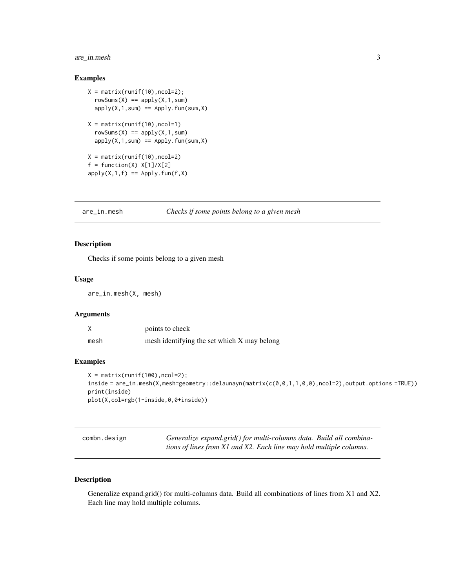## <span id="page-2-0"></span>are\_in.mesh 3

## Examples

```
X = matrix(runit(10), ncol=2);rowsums(X) == apply(X, 1, sum)apply(X,1,sum) == Apply.fun(sum,X)X = matrix(runif(10), ncol=1)rowsums(X) == apply(X, 1, sum)apply(X,1,sum) == Apply.fun(sum,X)X = matrix(runif(10), ncol=2)f = function(X) X[1]/X[2]apply(X,1,f) == Apply.Fun(f,X)
```
are\_in.mesh *Checks if some points belong to a given mesh*

## Description

Checks if some points belong to a given mesh

#### Usage

are\_in.mesh(X, mesh)

## Arguments

|      | points to check                             |
|------|---------------------------------------------|
| mesh | mesh identifying the set which X may belong |

#### Examples

```
X = matrix(runif(100), ncol=2);inside = are_in.mesh(X,mesh=geometry::delaunayn(matrix(c(0,0,1,1,0,0),ncol=2),output.options =TRUE))
print(inside)
plot(X,col=rgb(1-inside,0,0+inside))
```

| combn.design | Generalize expand.grid() for multi-columns data. Build all combina- |  |
|--------------|---------------------------------------------------------------------|--|
|              | tions of lines from X1 and X2. Each line may hold multiple columns. |  |

#### Description

Generalize expand.grid() for multi-columns data. Build all combinations of lines from X1 and X2. Each line may hold multiple columns.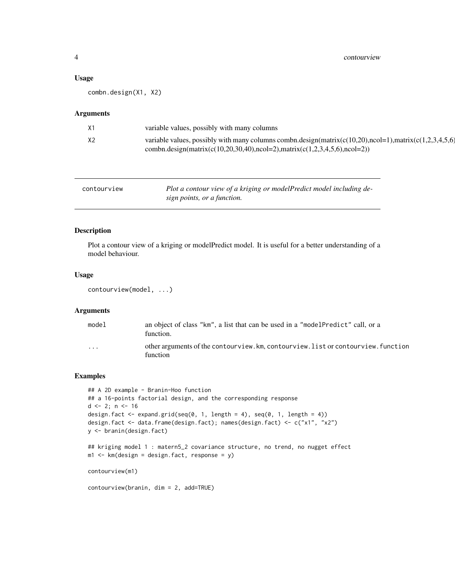#### <span id="page-3-0"></span>Usage

combn.design(X1, X2)

#### Arguments

| combn.design(matrix(c(10,20,30,40),ncol=2),matrix(c(1,2,3,4,5,6),ncol=2)) | X1             | variable values, possibly with many columns                                                            |
|---------------------------------------------------------------------------|----------------|--------------------------------------------------------------------------------------------------------|
|                                                                           | X <sub>2</sub> | variable values, possibly with many columns combn.design(matrix(c(10,20),ncol=1),matrix(c(1,2,3,4,5,6) |

| contourview | Plot a contour view of a kriging or modelPredict model including de- |
|-------------|----------------------------------------------------------------------|
|             | sign points, or a function.                                          |

## Description

Plot a contour view of a kriging or modelPredict model. It is useful for a better understanding of a model behaviour.

## Usage

```
contourview(model, ...)
```
## Arguments

| model    | an object of class "km", a list that can be used in a "model Predict" call, or a<br>function.  |
|----------|------------------------------------------------------------------------------------------------|
| $\cdots$ | other arguments of the contourview. km, contourview. list or contourview. function<br>function |

```
## A 2D example - Branin-Hoo function
## a 16-points factorial design, and the corresponding response
d \leq 2; n \leq -16design.fact \leq expand.grid(seq(0, 1, length = 4), seq(0, 1, length = 4))
design.fact <- data.frame(design.fact); names(design.fact) <- c("x1", "x2")
y <- branin(design.fact)
## kriging model 1 : matern5_2 covariance structure, no trend, no nugget effect
m1 <- km (design = design. fact, response = y)
contourview(m1)
contourview(branin, dim = 2, add=TRUE)
```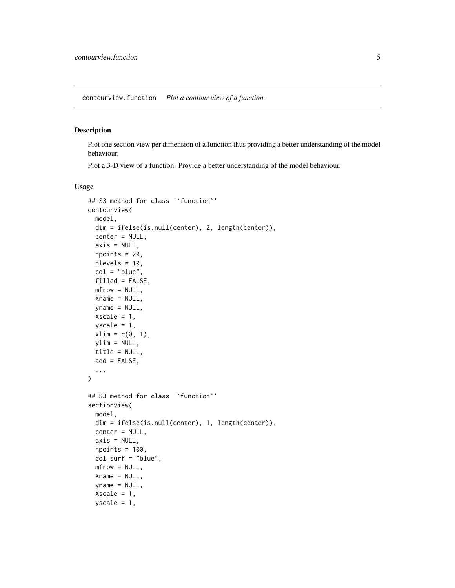<span id="page-4-0"></span>contourview.function *Plot a contour view of a function.*

## Description

Plot one section view per dimension of a function thus providing a better understanding of the model behaviour.

Plot a 3-D view of a function. Provide a better understanding of the model behaviour.

#### Usage

```
## S3 method for class '`function`'
contourview(
 model,
 dim = ifelse(is.null(center), 2, length(center)),
 center = NULL,
 axis = NULL,npoints = 20,
 nlevels = 10,
 col = "blue",filled = FALSE,
 mfrow = NULL,
 Xname = NULL,
 vname = NULL,
 Xscale = 1,yscale = 1,xlim = c(0, 1),ylim = NULL,
 title = NULL,
 add = FALSE,...
\mathcal{L}## S3 method for class '`function`'
sectionview(
 model,
 dim = ifelse(is.null(center), 1, length(center)),
 center = NULL,
  axis = NULL,npoints = 100,col_surf = "blue",
 mfrow = NULL,
 Xname = NULL,
  yname = NULL,Xscale = 1,yscale = 1,
```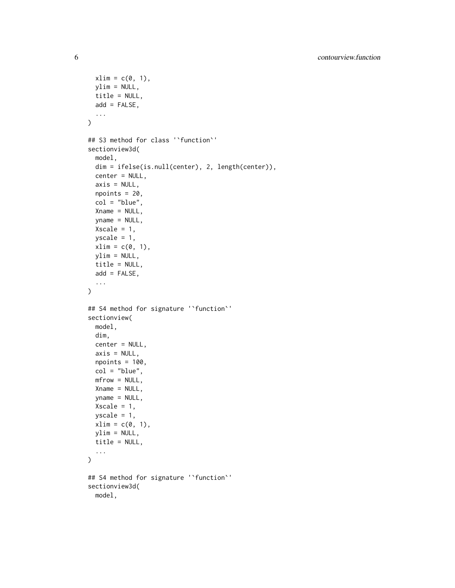```
xlim = c(0, 1),ylim = NULL,title = NULL,
 add = FALSE,...
\mathcal{L}## S3 method for class '`function`'
sectionview3d(
 model,
 dim = ifelse(is.null(center), 2, length(center)),
  center = NULL,
  axis = NULL,npoints = 20,
  col = "blue",
  Xname = NULL,
 yname = NULL,
 Xscale = 1,yscale = 1,xlim = c(0, 1),ylim = NULL,
  title = NULL,
 add = FALSE,...
\mathcal{L}## S4 method for signature '`function`'
sectionview(
 model,
 dim,
  center = NULL,
 axis = NULL,npoints = 100,
  col = "blue",mfrow = NULL,
 Xname = NULL,
 vname = NULL,
 Xscale = 1,yscale = 1,xlim = c(0, 1),ylim = NULL,
 title = NULL,
  ...
)
## S4 method for signature '`function`'
sectionview3d(
 model,
```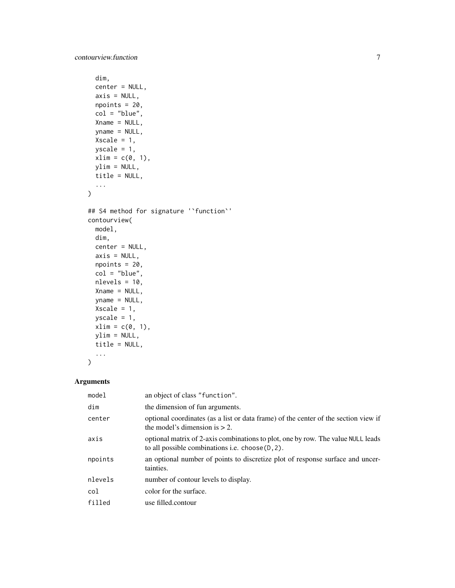```
dim,
  center = NULL,
  axis = NULL,npoints = 20,col = "blue",
 Xname = NULL,
 yname = NULL,
 Xscale = 1,yscale = 1,xlim = c(0, 1),ylim = NULL,
 title = NULL,
  ...
\mathcal{L}## S4 method for signature '`function`'
contourview(
 model,
 dim,
 center = NULL,
 axis = NULL,npoints = 20,col = "blue",
 nlevels = 10,
 Xname = NULL,
 yname = NULL,
 Xscale = 1,yscale = 1,
 xlim = c(0, 1),ylim = NULL,
 title = NULL,
  ...
)
```
#### Arguments

| model   | an object of class "function".                                                                                                         |
|---------|----------------------------------------------------------------------------------------------------------------------------------------|
| dim     | the dimension of fun arguments.                                                                                                        |
| center  | optional coordinates (as a list or data frame) of the center of the section view if<br>the model's dimension is $> 2$ .                |
| axis    | optional matrix of 2-axis combinations to plot, one by row. The value NULL leads<br>to all possible combinations i.e. $choose(D, 2)$ . |
| npoints | an optional number of points to discretize plot of response surface and uncer-<br>tainties.                                            |
| nlevels | number of contour levels to display.                                                                                                   |
| col     | color for the surface.                                                                                                                 |
| filled  | use filled.contour                                                                                                                     |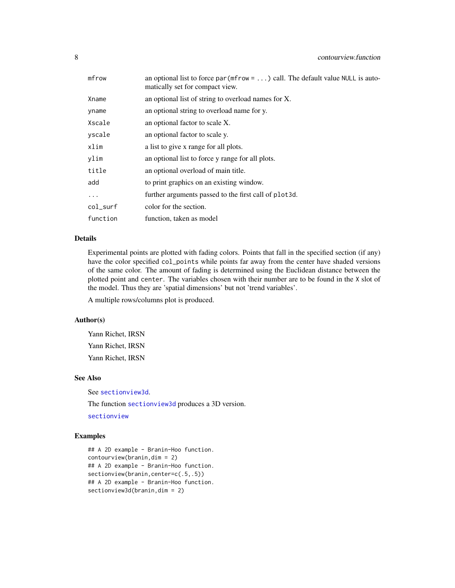<span id="page-7-0"></span>

| mfrow    | an optional list to force par ( $m$ frow = ) call. The default value NULL is auto-<br>matically set for compact view. |
|----------|-----------------------------------------------------------------------------------------------------------------------|
| Xname    | an optional list of string to overload names for X.                                                                   |
| yname    | an optional string to overload name for y.                                                                            |
| Xscale   | an optional factor to scale X.                                                                                        |
| yscale   | an optional factor to scale y.                                                                                        |
| xlim     | a list to give x range for all plots.                                                                                 |
| ylim     | an optional list to force y range for all plots.                                                                      |
| title    | an optional overload of main title.                                                                                   |
| add      | to print graphics on an existing window.                                                                              |
| $\cdots$ | further arguments passed to the first call of plot 3d.                                                                |
| col_surf | color for the section.                                                                                                |
| function | function, taken as model                                                                                              |

## Details

Experimental points are plotted with fading colors. Points that fall in the specified section (if any) have the color specified col\_points while points far away from the center have shaded versions of the same color. The amount of fading is determined using the Euclidean distance between the plotted point and center. The variables chosen with their number are to be found in the X slot of the model. Thus they are 'spatial dimensions' but not 'trend variables'.

A multiple rows/columns plot is produced.

## Author(s)

Yann Richet, IRSN Yann Richet, IRSN Yann Richet, IRSN

### See Also

See [sectionview3d](#page-30-1).

The function [sectionview3d](#page-30-1) produces a 3D version. [sectionview](#page-29-1)

```
## A 2D example - Branin-Hoo function.
contourview(branin,dim = 2)
## A 2D example - Branin-Hoo function.
sectionview(branin, center=c(.5,.5))
## A 2D example - Branin-Hoo function.
sectionview3d(branin,dim = 2)
```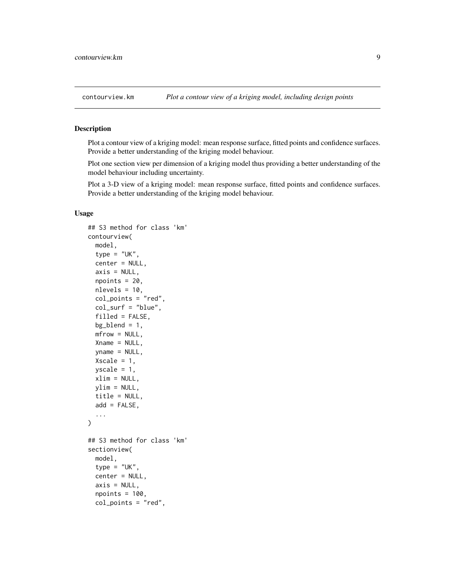<span id="page-8-0"></span>

#### <span id="page-8-1"></span>Description

Plot a contour view of a kriging model: mean response surface, fitted points and confidence surfaces. Provide a better understanding of the kriging model behaviour.

Plot one section view per dimension of a kriging model thus providing a better understanding of the model behaviour including uncertainty.

Plot a 3-D view of a kriging model: mean response surface, fitted points and confidence surfaces. Provide a better understanding of the kriging model behaviour.

### Usage

```
## S3 method for class 'km'
contourview(
 model,
  type = "UK",
  center = NULL,
  axis = NULL,npoints = 20,nlevels = 10,
  col_points = "red",
  col\_surf = "blue",filled = FALSE,
 bg\_blend = 1,
 mfrow = NULL,
 Xname = NULL,
  yname = NULL,Xscale = 1,
 yscale = 1,xlim = NULL,ylim = NULL,
  title = NULL,
  add = FALSE,...
)
## S3 method for class 'km'
sectionview(
 model,
  type = "UK",
  center = NULL,
  axis = NULL,npoints = 100,col_points = "red",
```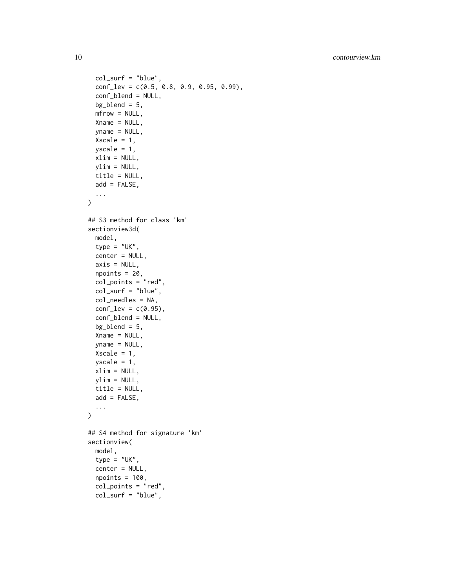```
col_surf = "blue",
  conf_{\text{lev}} = c(0.5, 0.8, 0.9, 0.95, 0.99),
  conf_blend = NULL,
  bg\_blend = 5,
  mfrow = NULL,
 Xname = NULL,
 yname = NULL,Xscale = 1,yscale = 1,xlim = NULL,ylim = NULL,
 title = NULL,
 add = FALSE,...
)
## S3 method for class 'km'
sectionview3d(
 model,
  type = "UK",
  center = NULL,
  axis = NULL,npoints = 20,
  col_points = "red",
  col\_surf = "blue",col_needles = NA,
  conf\_lev = c(0.95),
  conf_blend = NULL,
 bg\_blend = 5,
 Xname = NULL,
  yname = NULL,Xscale = 1,yscale = 1,xlim = NULL,ylim = NULL,
  title = NULL,
 add = FALSE,
  ...
\mathcal{L}## S4 method for signature 'km'
sectionview(
 model,
  type = "UK",center = NULL,
  npoints = 100,col_points = "red",
  col\_surf = "blue",
```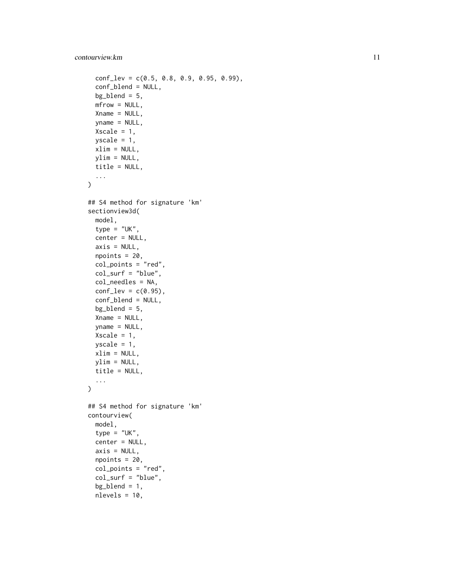## contourview.km and the contourview.km and the contourview.km and the contourview.km and the contourview.km and the contourview.km and the contour view of  $\sim 11$

```
conf_{\text{lev}} = c(0.5, 0.8, 0.9, 0.95, 0.99),
  conf_blend = NULL,
 bg\_blend = 5,
 mfrow = NULL,
  Xname = NULL,
  yname = NULL,
  Xscale = 1,yscale = 1,xlim = NULL,ylim = NULL,
 title = NULL,
  ...
)
## S4 method for signature 'km'
sectionview3d(
 model,
  type = "UK",
  center = NULL,
  axis = NULL,npoints = 20,col_points = "red",
  col_surf = "blue",
  col_needles = NA,
  conf\_lev = c(0.95),
  conf_blend = NULL,
  bg\_blend = 5,
  Xname = NULL,
  yname = NULL,
 Xscale = 1,yscale = 1,xlim = NULL,ylim = NULL,
  title = NULL,
  ...
\mathcal{L}## S4 method for signature 'km'
contourview(
 model,
  type = "UK",center = NULL,
  axis = NULL,npoints = 20,col_points = "red",
  col_surf = "blue",
  bg\_blend = 1,
  nlevels = 10,
```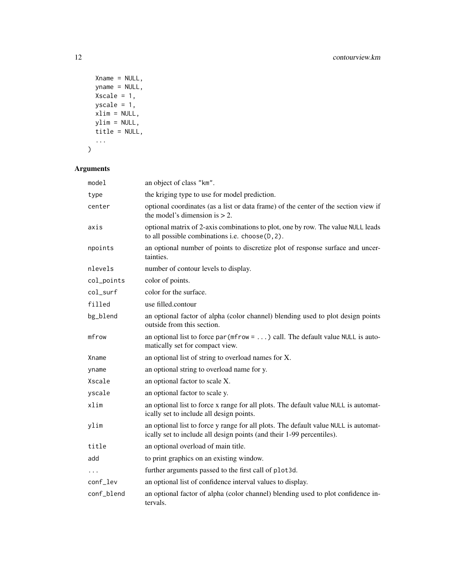```
Xname = NULL,
yname = NULL,
Xscale = 1,yscale = 1,xlim = NULL,ylim = NULL,
title = NULL,
...
```
## $\mathcal{L}$

## Arguments

| model      | an object of class "km".                                                                                                                                     |
|------------|--------------------------------------------------------------------------------------------------------------------------------------------------------------|
| type       | the kriging type to use for model prediction.                                                                                                                |
| center     | optional coordinates (as a list or data frame) of the center of the section view if<br>the model's dimension is $> 2$ .                                      |
| axis       | optional matrix of 2-axis combinations to plot, one by row. The value NULL leads<br>to all possible combinations i.e. $choose(D, 2)$ .                       |
| npoints    | an optional number of points to discretize plot of response surface and uncer-<br>tainties.                                                                  |
| nlevels    | number of contour levels to display.                                                                                                                         |
| col_points | color of points.                                                                                                                                             |
| col_surf   | color for the surface.                                                                                                                                       |
| filled     | use filled.contour                                                                                                                                           |
| bg_blend   | an optional factor of alpha (color channel) blending used to plot design points<br>outside from this section.                                                |
| mfrow      | an optional list to force par ( $m$ frow = ) call. The default value NULL is auto-<br>matically set for compact view.                                        |
| Xname      | an optional list of string to overload names for X.                                                                                                          |
| yname      | an optional string to overload name for y.                                                                                                                   |
| Xscale     | an optional factor to scale X.                                                                                                                               |
| yscale     | an optional factor to scale y.                                                                                                                               |
| xlim       | an optional list to force x range for all plots. The default value NULL is automat-<br>ically set to include all design points.                              |
| ylim       | an optional list to force y range for all plots. The default value NULL is automat-<br>ically set to include all design points (and their 1-99 percentiles). |
| title      | an optional overload of main title.                                                                                                                          |
| add        | to print graphics on an existing window.                                                                                                                     |
| $\ddotsc$  | further arguments passed to the first call of plot3d.                                                                                                        |
| conf_lev   | an optional list of confidence interval values to display.                                                                                                   |
| conf_blend | an optional factor of alpha (color channel) blending used to plot confidence in-<br>tervals.                                                                 |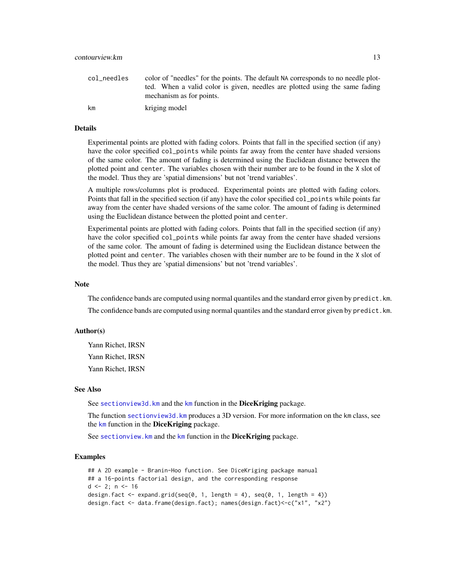<span id="page-12-0"></span>

| col needles | color of "needles" for the points. The default NA corresponds to no needle plot-<br>ted. When a valid color is given, needles are plotted using the same fading<br>mechanism as for points. |
|-------------|---------------------------------------------------------------------------------------------------------------------------------------------------------------------------------------------|
| km          | kriging model                                                                                                                                                                               |

#### Details

Experimental points are plotted with fading colors. Points that fall in the specified section (if any) have the color specified col\_points while points far away from the center have shaded versions of the same color. The amount of fading is determined using the Euclidean distance between the plotted point and center. The variables chosen with their number are to be found in the X slot of the model. Thus they are 'spatial dimensions' but not 'trend variables'.

A multiple rows/columns plot is produced. Experimental points are plotted with fading colors. Points that fall in the specified section (if any) have the color specified col\_points while points far away from the center have shaded versions of the same color. The amount of fading is determined using the Euclidean distance between the plotted point and center.

Experimental points are plotted with fading colors. Points that fall in the specified section (if any) have the color specified col\_points while points far away from the center have shaded versions of the same color. The amount of fading is determined using the Euclidean distance between the plotted point and center. The variables chosen with their number are to be found in the X slot of the model. Thus they are 'spatial dimensions' but not 'trend variables'.

#### **Note**

The confidence bands are computed using normal quantiles and the standard error given by predict. km. The confidence bands are computed using normal quantiles and the standard error given by predict.km.

## Author(s)

Yann Richet, IRSN Yann Richet, IRSN Yann Richet, IRSN

#### See Also

See sectionview3d. [km](#page-0-0) and the km function in the DiceKriging package.

The function [sectionview3d.km](#page-8-1) produces a 3D version. For more information on the km class, see the [km](#page-0-0) function in the DiceKriging package.

See sectionview. [km](#page-0-0) and the km function in the DiceKriging package.

```
## A 2D example - Branin-Hoo function. See DiceKriging package manual
## a 16-points factorial design, and the corresponding response
d \le -2; n \le -16design.fact <- expand.grid(seq(0, 1, length = 4), seq(0, 1, length = 4))
design.fact <- data.frame(design.fact); names(design.fact)<-c("x1", "x2")
```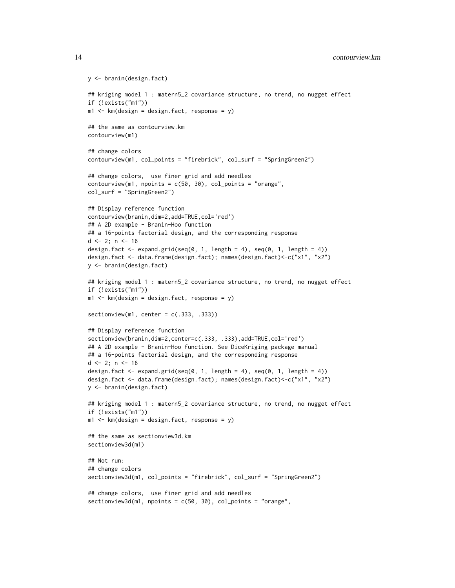```
y <- branin(design.fact)
## kriging model 1 : matern5_2 covariance structure, no trend, no nugget effect
if (!exists("m1"))
m1 <- km (design = design. fact, response = y)
## the same as contourview.km
contourview(m1)
## change colors
contourview(m1, col_points = "firebrick", col_surf = "SpringGreen2")
## change colors, use finer grid and add needles
contourview(m1, npoints = c(50, 30), col points = "orange",col_surf = "SpringGreen2")
## Display reference function
contourview(branin,dim=2,add=TRUE,col='red')
## A 2D example - Branin-Hoo function
## a 16-points factorial design, and the corresponding response
d \leq 2; n \leq -16design.fact \leq expand.grid(seq(0, 1, length = 4), seq(0, 1, length = 4))
design.fact <- data.frame(design.fact); names(design.fact)<-c("x1", "x2")
y <- branin(design.fact)
## kriging model 1 : matern5_2 covariance structure, no trend, no nugget effect
if (!exists("m1"))
m1 <- km (design = design. fact, response = y)
sectionview(m1, center = c(.333, .333))
## Display reference function
sectionview(branin,dim=2,center=c(.333, .333),add=TRUE,col='red')
## A 2D example - Branin-Hoo function. See DiceKriging package manual
## a 16-points factorial design, and the corresponding response
d \leq 2; n \leq -16design.fact \leq expand.grid(seq(0, 1, length = 4), seq(0, 1, length = 4))
design.fact <- data.frame(design.fact); names(design.fact)<-c("x1", "x2")
y <- branin(design.fact)
## kriging model 1 : matern5_2 covariance structure, no trend, no nugget effect
if (!exists("m1"))
m1 <- km (design = design. fact, response = y)
## the same as sectionview3d.km
sectionview3d(m1)
## Not run:
## change colors
sectionview3d(m1, col_points = "firebrick", col_surf = "SpringGreen2")
## change colors, use finer grid and add needles
sectionview3d(m1, npoints = c(50, 30), col_points = "orange",
```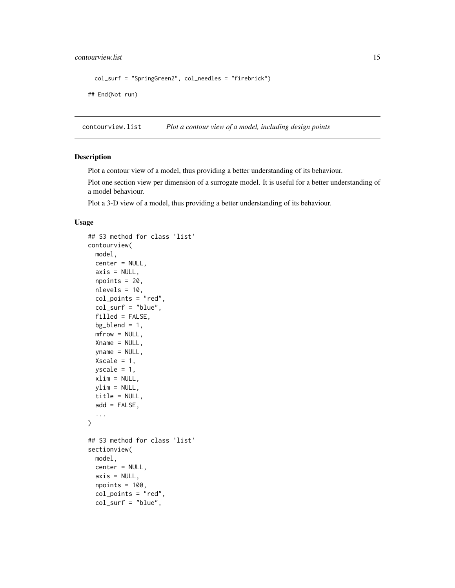## <span id="page-14-0"></span>contourview.list 15

```
col_surf = "SpringGreen2", col_needles = "firebrick")
## End(Not run)
```
contourview.list *Plot a contour view of a model, including design points*

#### <span id="page-14-1"></span>Description

Plot a contour view of a model, thus providing a better understanding of its behaviour.

Plot one section view per dimension of a surrogate model. It is useful for a better understanding of a model behaviour.

Plot a 3-D view of a model, thus providing a better understanding of its behaviour.

#### Usage

```
## S3 method for class 'list'
contourview(
 model,
  center = NULL,
  axis = NULL,npoints = 20,
  nlevels = 10,
  col_points = "red",
  col\_surf = "blue",filled = FALSE,
  bg\_blend = 1,
 mfrow = NULL,
  Xname = NULL,
  yname = NULL,Xscale = 1,
 yscale = 1,xlim = NULL,ylim = NULL,
  title = NULL,
  add = FALSE,...
)
## S3 method for class 'list'
sectionview(
  model,
  center = NULL,
  axis = NULL,npoints = 100,col_points = "red",
  col\_surf = "blue",
```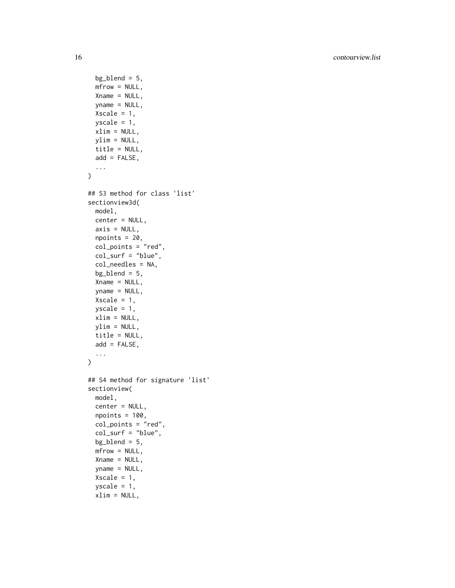16 contourview.list

```
bg\_blend = 5,
 mfrow = NULL,
 Xname = NULL,
  yname = NULL,
  Xscale = 1,yscale = 1,
 xlim = NULL,ylim = NULL,
  title = NULL,
 add = FALSE,...
\mathcal{L}## S3 method for class 'list'
sectionview3d(
 model,
 center = NULL,
 axis = NULL,npoints = 20,col\_points = "red",col\_surf = "blue",col_needles = NA,
  bg\_blend = 5,
  Xname = NULL,
  yname = NULL,
 Xscale = 1,yscale = 1,xlim = NULL,
 ylim = NULL,
 title = NULL,
  add = FALSE,...
)
## S4 method for signature 'list'
sectionview(
 model,
 center = NULL,
  npoints = 100,col_points = "red",
  col\_surf = "blue",bg\_blend = 5,
 mfrow = NULL,
  Xname = NULL,
  yname = NULL,
  Xscale = 1,yscale = 1,xlim = NULL,
```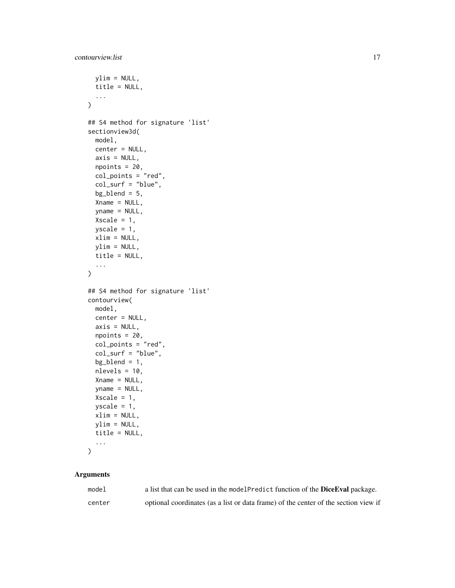```
ylim = NULL,title = NULL,
  ...
\lambda## S4 method for signature 'list'
sectionview3d(
 model,
 center = NULL,
 axis = NULL,npoints = 20,col_points = "red",
  col_surf = "blue",
 bg\_blend = 5,
 Xname = NULL,
  yname = NULL,
 Xscale = 1,yscale = 1,xlim = NULL,ylim = NULL,
 title = NULL,
  ...
\mathcal{L}## S4 method for signature 'list'
contourview(
 model,
 center = NULL,
  axis = NULL,npoints = 20,col_points = "red",
  col\_surf = "blue",bg\_blend = 1,
 nlevels = 10,
  Xname = NULL,
  yname = NULL,
 Xscale = 1,yscale = 1,xlim = NULL,ylim = NULL,
  title = NULL,
  ...
\mathcal{L}
```
## Arguments

| model  | a list that can be used in the modelPredict function of the <b>DiceEval</b> package. |
|--------|--------------------------------------------------------------------------------------|
| center | optional coordinates (as a list or data frame) of the center of the section view if  |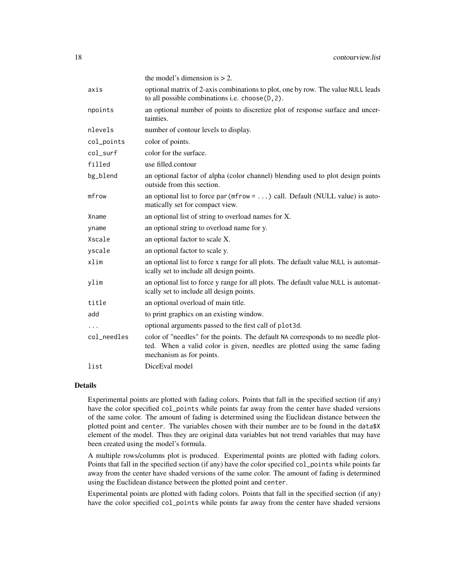|             | the model's dimension is $> 2$ .                                                                                                                                                            |
|-------------|---------------------------------------------------------------------------------------------------------------------------------------------------------------------------------------------|
| axis        | optional matrix of 2-axis combinations to plot, one by row. The value NULL leads<br>to all possible combinations i.e. choose(D, 2).                                                         |
| npoints     | an optional number of points to discretize plot of response surface and uncer-<br>tainties.                                                                                                 |
| nlevels     | number of contour levels to display.                                                                                                                                                        |
| col_points  | color of points.                                                                                                                                                                            |
| col_surf    | color for the surface.                                                                                                                                                                      |
| filled      | use filled.contour                                                                                                                                                                          |
| bg_blend    | an optional factor of alpha (color channel) blending used to plot design points<br>outside from this section.                                                                               |
| mfrow       | an optional list to force $par(mfrow = )$ call. Default (NULL value) is auto-<br>matically set for compact view.                                                                            |
| Xname       | an optional list of string to overload names for X.                                                                                                                                         |
| yname       | an optional string to overload name for y.                                                                                                                                                  |
| Xscale      | an optional factor to scale X.                                                                                                                                                              |
| yscale      | an optional factor to scale y.                                                                                                                                                              |
| xlim        | an optional list to force x range for all plots. The default value NULL is automat-<br>ically set to include all design points.                                                             |
| ylim        | an optional list to force y range for all plots. The default value NULL is automat-<br>ically set to include all design points.                                                             |
| title       | an optional overload of main title.                                                                                                                                                         |
| add         | to print graphics on an existing window.                                                                                                                                                    |
| $\cdots$    | optional arguments passed to the first call of plot3d.                                                                                                                                      |
| col_needles | color of "needles" for the points. The default NA corresponds to no needle plot-<br>ted. When a valid color is given, needles are plotted using the same fading<br>mechanism as for points. |
| list        | Dice Eval model                                                                                                                                                                             |

#### Details

Experimental points are plotted with fading colors. Points that fall in the specified section (if any) have the color specified col\_points while points far away from the center have shaded versions of the same color. The amount of fading is determined using the Euclidean distance between the plotted point and center. The variables chosen with their number are to be found in the data\$X element of the model. Thus they are original data variables but not trend variables that may have been created using the model's formula.

A multiple rows/columns plot is produced. Experimental points are plotted with fading colors. Points that fall in the specified section (if any) have the color specified col\_points while points far away from the center have shaded versions of the same color. The amount of fading is determined using the Euclidean distance between the plotted point and center.

Experimental points are plotted with fading colors. Points that fall in the specified section (if any) have the color specified col\_points while points far away from the center have shaded versions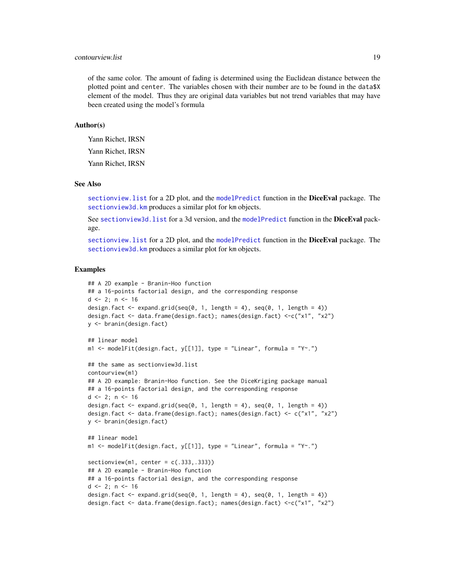## <span id="page-18-0"></span>contourview.list 19

of the same color. The amount of fading is determined using the Euclidean distance between the plotted point and center. The variables chosen with their number are to be found in the data\$X element of the model. Thus they are original data variables but not trend variables that may have been created using the model's formula

#### Author(s)

Yann Richet, IRSN Yann Richet, IRSN

Yann Richet, IRSN

#### See Also

[sectionview.list](#page-14-1) for a 2D plot, and the [modelPredict](#page-0-0) function in the DiceEval package. The [sectionview3d.km](#page-8-1) produces a similar plot for km objects.

See sectionview3d. list for a 3d version, and the [modelPredict](#page-0-0) function in the DiceEval package.

sectionview. list for a 2D plot, and the [modelPredict](#page-0-0) function in the DiceEval package. The [sectionview3d.km](#page-8-1) produces a similar plot for km objects.

```
## A 2D example - Branin-Hoo function
## a 16-points factorial design, and the corresponding response
d \le -2; n \le -16design.fact \leq expand.grid(seq(0, 1, length = 4), seq(0, 1, length = 4))
design.fact <- data.frame(design.fact); names(design.fact) <-c("x1", "x2")
y <- branin(design.fact)
## linear model
m1 <- modelFit(design.fact, y[[1]], type = "Linear", formula = "Y~.")
## the same as sectionview3d.list
contourview(m1)
## A 2D example: Branin-Hoo function. See the DiceKriging package manual
## a 16-points factorial design, and the corresponding response
d \le -2; n \le -16design.fact \leq expand.grid(seq(0, 1, length = 4), seq(0, 1, length = 4))
design.fact <- data.frame(design.fact); names(design.fact) <- c("x1", "x2")
y <- branin(design.fact)
## linear model
m1 <- modelFit(design.fact, y[[1]], type = "Linear", formula = "Y~.")
sectionview(m1, center = c(.333, .333))## A 2D example - Branin-Hoo function
## a 16-points factorial design, and the corresponding response
d \le -2; n \le -16design.fact \leq expand.grid(seq(0, 1, length = 4), seq(0, 1, length = 4))
design.fact <- data.frame(design.fact); names(design.fact) <-c("x1", "x2")
```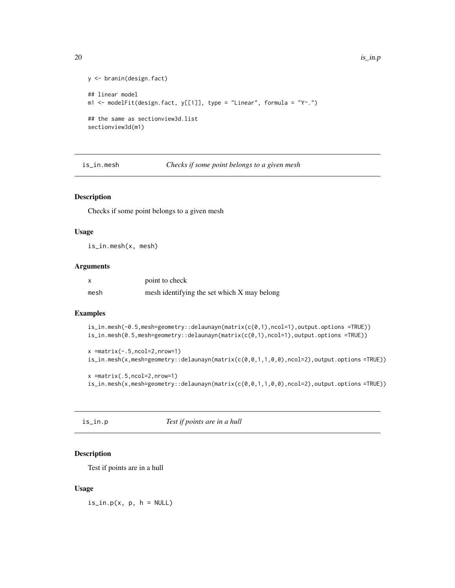```
y <- branin(design.fact)
## linear model
m1 <- modelFit(design.fact, y[[1]], type = "Linear", formula = "Y~.")
## the same as sectionview3d.list
sectionview3d(m1)
```
is\_in.mesh *Checks if some point belongs to a given mesh*

## Description

Checks if some point belongs to a given mesh

#### Usage

is\_in.mesh(x, mesh)

#### Arguments

|      | point to check                              |
|------|---------------------------------------------|
| mesh | mesh identifying the set which X may belong |

#### Examples

```
is_in.mesh(-0.5,mesh=geometry::delaunayn(matrix(c(0,1),ncol=1),output.options =TRUE))
is_in.mesh(0.5,mesh=geometry::delaunayn(matrix(c(0,1),ncol=1),output.options =TRUE))
```

```
x =matrix(-.5,ncol=2,nrow=1)
is_in.mesh(x,mesh=geometry::delaunayn(matrix(c(0,0,1,1,0,0),ncol=2),output.options =TRUE))
```

```
x =matrix(.5,ncol=2,nrow=1)
is_in.mesh(x,mesh=geometry::delaunayn(matrix(c(0,0,1,1,0,0),ncol=2),output.options =TRUE))
```
is\_in.p *Test if points are in a hull*

### Description

Test if points are in a hull

### Usage

 $is\_in.p(x, p, h = NULL)$ 

<span id="page-19-0"></span>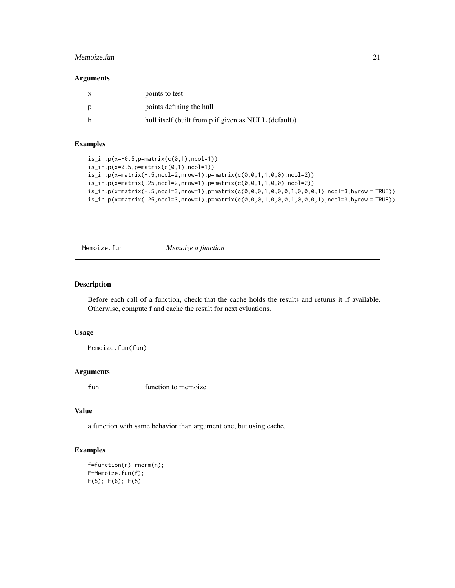#### <span id="page-20-0"></span>Memoize.fun 21

#### Arguments

| points to test                                        |
|-------------------------------------------------------|
| points defining the hull                              |
| hull itself (built from p if given as NULL (default)) |

## Examples

```
is_in.p(x=-0.5,p=maxrix(c(0,1),ncol=1))is_in.p(x=0.5,p=matrix(c(0,1),ncol=1))
is_in.p(x=matrix(-.5,ncol=2,nrow=1),p=matrix(c(0,0,1,1,0,0),ncol=2))
is_in.p(x=matrix(.25,ncol=2,nrow=1),p=matrix(c(0,0,1,1,0,0),ncol=2))
is_in.p(x=matrix(-.5,ncol=3,nrow=1),p=matrix(c(0,0,0,1,0,0,0,1,0,0,0,1),ncol=3,byrow = TRUE))
is_in.p(x=matrix(.25,ncol=3,nrow=1),p=matrix(c(0,0,0,1,0,0,0,1,0,0,0,1),ncol=3,byrow = TRUE))
```
Memoize.fun *Memoize a function*

#### Description

Before each call of a function, check that the cache holds the results and returns it if available. Otherwise, compute f and cache the result for next evluations.

#### Usage

Memoize.fun(fun)

## Arguments

fun function to memoize

## Value

a function with same behavior than argument one, but using cache.

```
f=function(n) rnorm(n);
F=Memoize.fun(f);
F(5); F(6); F(5)
```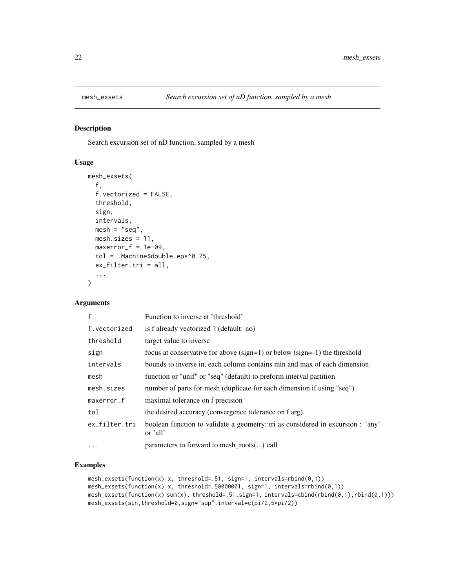<span id="page-21-0"></span>

## Description

Search excursion set of nD function, sampled by a mesh

#### Usage

```
mesh_exsets(
  f,
  f.vectorized = FALSE,
  threshold,
  sign,
  intervals,
  mesh = "seq",mesh.sizes = 11,
 maxerror_f = 1e-09,
  tol = .Machine$double.eps^0.25,
  ex_filter.tri = all,
  ...
\mathcal{E}
```
## Arguments

| $\mathsf{f}$  | Function to inverse at 'threshold'                                                          |
|---------------|---------------------------------------------------------------------------------------------|
| f.vectorized  | is f already vectorized ? (default: no)                                                     |
| threshold     | target value to inverse                                                                     |
| sign          | focus at conservative for above $(sign=1)$ or below $(sign=1)$ the threshold                |
| intervals     | bounds to inverse in, each column contains min and max of each dimension                    |
| mesh          | function or "unif" or "seq" (default) to preform interval partition                         |
| mesh.sizes    | number of parts for mesh (duplicate for each dimension if using "seq")                      |
| maxerror_f    | maximal tolerance on f precision                                                            |
| tol           | the desired accuracy (convergence tolerance on f arg).                                      |
| ex_filter.tri | boolean function to validate a geometry::tri as considered in excursion : 'any'<br>or 'all' |
| $\cdots$      | parameters to forward to mesh_roots() call                                                  |

```
mesh_exsets(function(x) x, threshold=.51, sign=1, intervals=rbind(0,1))
mesh_exsets(function(x) x, threshold=.50000001, sign=1, intervals=rbind(0,1))
mesh_exsets(function(x) sum(x), threshold=.51,sign=1, intervals=cbind(rbind(0,1),rbind(0,1)))
mesh_exsets(sin,threshold=0,sign="sup",interval=c(pi/2,5*pi/2))
```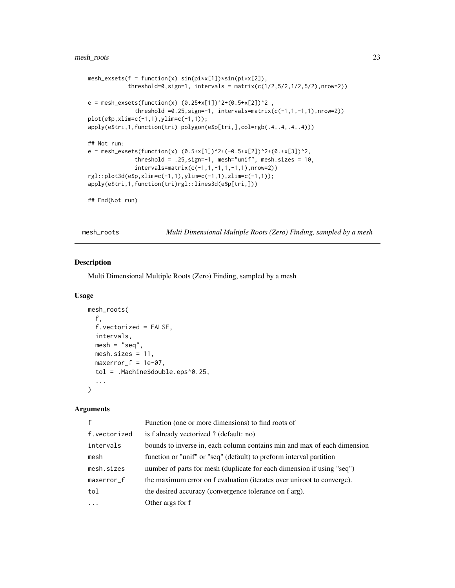## <span id="page-22-0"></span>mesh\_roots 23

```
mesh_exsets(f = function(x) sin(pix[1]) * sin(pix[2]),
            threshold=0, sign=1, intervals = matrix(c(1/2, 5/2, 1/2, 5/2), nrow=2))e = mesh\_exsets(function(x) (0.25+x[1])^2+(0.5+x[2])^2 ,threshold =0.25,sign=-1, intervals=matrix(c(-1,1,-1,1),nrow=2))
plot(e$p,xlim=c(-1,1),ylim=c(-1,1));
apply(e$tri,1,function(tri) polygon(e$p[tri,],col=rgb(.4,.4,.4,.4)))
## Not run:
e = mesh\_exsets(function(x) (0.5+x[1])^2+(-0.5+x[2])^2+(0.+x[3])^2,threshold = .25, sign=-1, mesh="unif", mesh.sizes = 10,
              intervals=matrix(c(-1,1,-1,1,-1,1),nrow=2))
rgl::plot3d(e$p,xlim=c(-1,1),ylim=c(-1,1),zlim=c(-1,1));
apply(e$tri,1,function(tri)rgl::lines3d(e$p[tri,]))
## End(Not run)
```
mesh\_roots *Multi Dimensional Multiple Roots (Zero) Finding, sampled by a mesh*

#### Description

Multi Dimensional Multiple Roots (Zero) Finding, sampled by a mesh

#### Usage

```
mesh_roots(
 f,
  f.vectorized = FALSE,
 intervals,
 mesh = "seq",mesh.sizes = 11,
 maxerror_f = 1e-07,
  tol = .Machine$double.eps^0.25,
  ...
)
```
#### Arguments

| $\mathbf{f}$ | Function (one or more dimensions) to find roots of                       |
|--------------|--------------------------------------------------------------------------|
| f.vectorized | is f already vectorized ? (default: no)                                  |
| intervals    | bounds to inverse in, each column contains min and max of each dimension |
| mesh         | function or "unif" or "seq" (default) to preform interval partition      |
| mesh.sizes   | number of parts for mesh (duplicate for each dimension if using "seq")   |
| maxerror_f   | the maximum error on f evaluation (iterates over uniroot to converge).   |
| tol          | the desired accuracy (convergence tolerance on f arg).                   |
|              | Other args for f                                                         |
|              |                                                                          |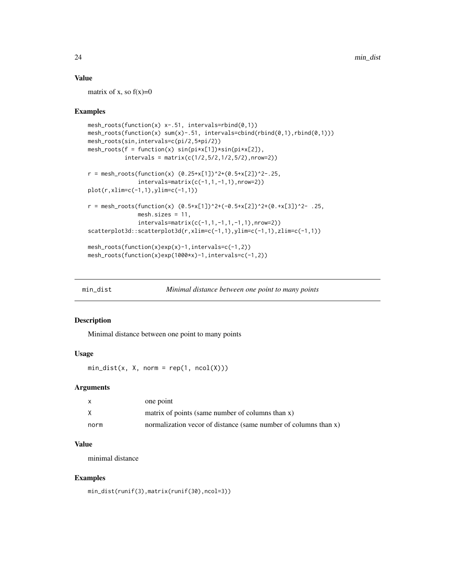## <span id="page-23-0"></span>Value

matrix of x, so  $f(x)=0$ 

#### Examples

```
mesh_roots(function(x) x-.51, intervals=rbind(0,1))
mesh_roots(function(x) sum(x)-.51, intervals=cbind(rbind(0,1),rbind(0,1)))
mesh_roots(sin,intervals=c(pi/2,5*pi/2))
mesh_roots(f = function(x) sin(pix[1]) * sin(pix[2]),intervals = matrix(c(1/2, 5/2, 1/2, 5/2), nrow=2))r = mesh\_roots(function(x) (0.25+x[1])^2+(0.5+x[2])^2-.25,intervals = matrix(c(-1,1,-1,1),nrow=2))plot(r,xlim=c(-1,1),ylim=c(-1,1))
r = mesh\_roots(function(x) (0.5+x[1])^2+(-0.5+x[2])^2+(0.+x[3])^2- .25,mesh.sizes = 11,
               intervals=matrix(c(-1,1,-1,1,-1,1),nrow=2))
scatterplot3d::scatterplot3d(r,xlim=c(-1,1),ylim=c(-1,1),zlim=c(-1,1))
mesh_roots(function(x)exp(x)-1,intervals=c(-1,2))
mesh_roots(function(x)exp(1000*x)-1,intervals=c(-1,2))
```

```
min_dist Minimal distance between one point to many points
```
#### Description

Minimal distance between one point to many points

#### Usage

 $min\_dist(x, X, norm = rep(1, ncol(X)))$ 

#### Arguments

|      | one point                                                       |
|------|-----------------------------------------------------------------|
|      | matrix of points (same number of columns than x)                |
| norm | normalization vecor of distance (same number of columns than x) |

## Value

minimal distance

```
min_dist(runif(3),matrix(runif(30),ncol=3))
```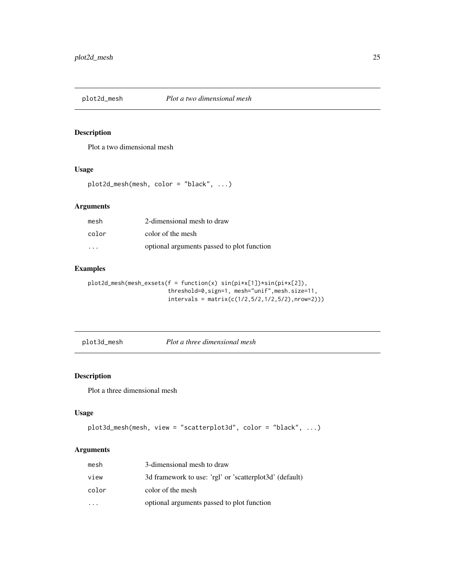<span id="page-24-0"></span>

#### Description

Plot a two dimensional mesh

## Usage

plot2d\_mesh(mesh, color = "black", ...)

## Arguments

| mesh                    | 2-dimensional mesh to draw                 |
|-------------------------|--------------------------------------------|
| color                   | color of the mesh                          |
| $\cdot$ $\cdot$ $\cdot$ | optional arguments passed to plot function |

## Examples

```
plot2d_mesh(mesh_exsets(f = function(x) sin(pi*x[1])*sin(pi*x[2]),
                        threshold=0,sign=1, mesh="unif",mesh.size=11,
                        intervals = matrix(c(1/2, 5/2, 1/2, 5/2), nrow=2)))
```
plot3d\_mesh *Plot a three dimensional mesh*

## Description

Plot a three dimensional mesh

## Usage

```
plot3d_mesh(mesh, view = "scatterplot3d", color = "black", ...)
```
## Arguments

| mesh  | 3-dimensional mesh to draw                              |
|-------|---------------------------------------------------------|
| view  | 3d framework to use: 'rgl' or 'scatterplot3d' (default) |
| color | color of the mesh                                       |
|       | optional arguments passed to plot function              |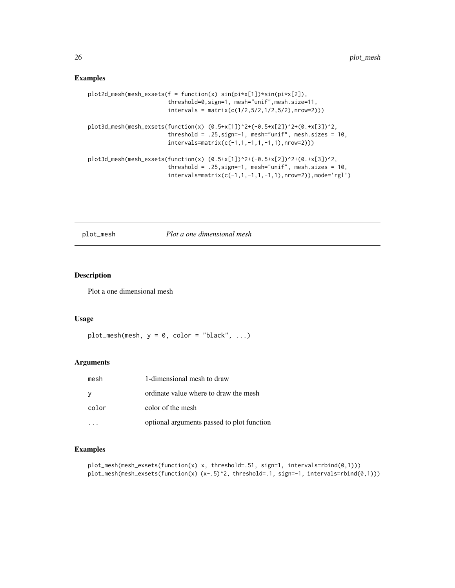### <span id="page-25-0"></span>Examples

```
plot2d_mesh(mesh_exsets(f = function(x) sin(pi*x[1])*sin(pi*x[2]),
                        threshold=0,sign=1, mesh="unif",mesh.size=11,
                        intervals = matrix(c(1/2, 5/2, 1/2, 5/2), nrow=2)))plot3d_mesh(mesh_exsets(function(x) (0.5+x[1])^2+(-0.5+x[2])^2+(0.+x[3])^2,
                        threshold = .25, sign=-1, mesh="unif", mesh.sizes = 10,
                        intervals=matrix(c(-1,1,-1,1,-1,1),nrow=2)))
plot3d_mesh(mesh_exsets(function(x) (0.5+x[1])^2+(-0.5+x[2])^2+(0.+x[3])^2,
                        threshold = .25, sign=-1, mesh="unif", mesh.sizes = 10,
                        intervals=matrix(c(-1,1,-1,1,-1,1),nrow=2)),mode='rgl')
```
plot\_mesh *Plot a one dimensional mesh*

#### Description

Plot a one dimensional mesh

## Usage

```
plot_mesh(mesh, y = 0, color = "black", ...)
```
#### Arguments

| mesh  | 1-dimensional mesh to draw                 |
|-------|--------------------------------------------|
| У     | ordinate value where to draw the mesh      |
| color | color of the mesh                          |
|       | optional arguments passed to plot function |

```
plot_mesh(mesh_exsets(function(x) x, threshold=.51, sign=1, intervals=rbind(0,1)))
plot_mesh(mesh_exsets(function(x) (x-.5)^2, threshold=.1, sign=-1, intervals=rbind(0,1)))
```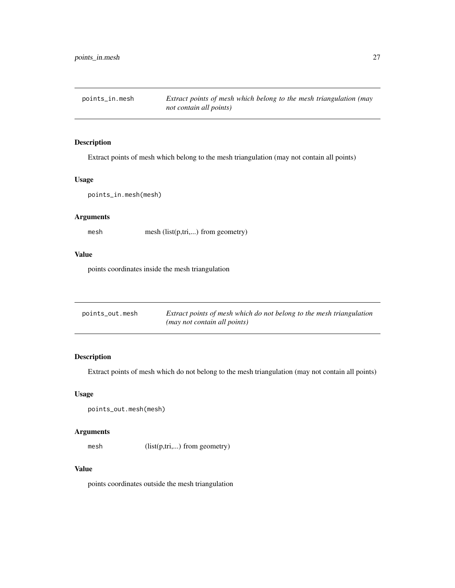<span id="page-26-0"></span>points\_in.mesh *Extract points of mesh which belong to the mesh triangulation (may not contain all points)*

## Description

Extract points of mesh which belong to the mesh triangulation (may not contain all points)

## Usage

points\_in.mesh(mesh)

## Arguments

mesh mesh (list(p,tri,...) from geometry)

## Value

points coordinates inside the mesh triangulation

| points_out.mesh | Extract points of mesh which do not belong to the mesh triangulation |
|-----------------|----------------------------------------------------------------------|
|                 | (may not contain all points)                                         |

## Description

Extract points of mesh which do not belong to the mesh triangulation (may not contain all points)

#### Usage

```
points_out.mesh(mesh)
```
#### Arguments

mesh (list(p,tri,...) from geometry)

#### Value

points coordinates outside the mesh triangulation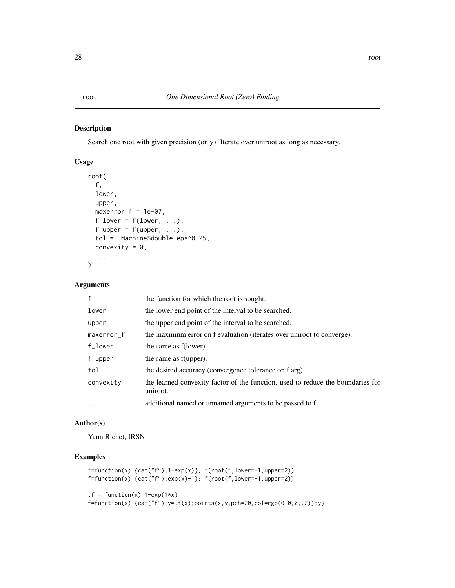## <span id="page-27-0"></span>Description

Search one root with given precision (on y). Iterate over uniroot as long as necessary.

## Usage

```
root(
  f,
  lower,
 upper,
 maxerror_f = 1e-07,
 f_lower = f(lower, \ldots),f_{\text{upper}} = f(\text{upper}, \ldots),tol = .Machine$double.eps^0.25,
  convexity = 0,
  ...
)
```
#### Arguments

| $\mathsf{f}$ | the function for which the root is sought.                                                  |
|--------------|---------------------------------------------------------------------------------------------|
| lower        | the lower end point of the interval to be searched.                                         |
| upper        | the upper end point of the interval to be searched.                                         |
| maxerror_f   | the maximum error on f evaluation (iterates over uniroot to converge).                      |
| $f\_lower$   | the same as f(lower).                                                                       |
| $f$ _upper   | the same as f(upper).                                                                       |
| tol          | the desired accuracy (convergence tolerance on f arg).                                      |
| convexity    | the learned convexity factor of the function, used to reduce the boundaries for<br>uniroot. |
| $\ddotsc$    | additional named or unnamed arguments to be passed to f.                                    |

#### Author(s)

Yann Richet, IRSN

```
f=function(x) {cat("f");1-exp(x)}; f(root(f,lower=-1,upper=2))
f=function(x) {cat("f");exp(x)-1}; f(root(f,lower=-1,upper=2))
.f = function(x) 1-exp(1*x)f = function(x) {cat("f")}; y = .f(x); points(x, y, pch=20, col=rgb(0, 0, 0, .2)); y}
```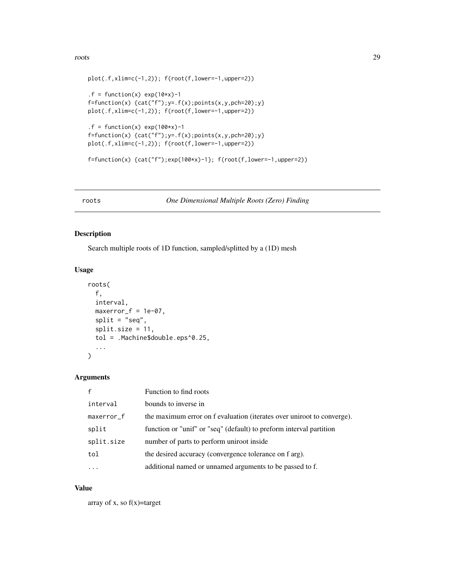#### <span id="page-28-0"></span>roots and the control of the control of the control of the control of the control of the control of the control of the control of the control of the control of the control of the control of the control of the control of th

```
plot(.f,xlim=c(-1,2)); f(root(f,lower=-1,upper=2))
.f = function(x) exp(10*x)-1f=function(x) {cat("f"); y= .f(x); points(x, y, pch=20); y}plot(.f,xlim=c(-1,2)); f(root(f,lower=-1,upper=2))
.f = function(x) exp(100*x) - 1f=function(x) {cat("f"); y= .f(x); points(x,y, pch=20); y}plot(.f,xlim=c(-1,2)); f(root(f,lower=-1,upper=2))
f=function(x) {cat("f")}; exp(100*x)-1}; f(root(f,lower=-1,upper=2))
```
roots *One Dimensional Multiple Roots (Zero) Finding*

## Description

Search multiple roots of 1D function, sampled/splitted by a (1D) mesh

## Usage

```
roots(
  f,
 interval,
 maxerror_f = 1e-07,
 split = "seq",split.size = 11,tol = .Machine$double.eps^0.25,
  ...
)
```
## Arguments

| $\mathbf{f}$ | Function to find roots                                                 |
|--------------|------------------------------------------------------------------------|
| interval     | bounds to inverse in                                                   |
| maxerror_f   | the maximum error on f evaluation (iterates over uniroot to converge). |
| split        | function or "unif" or "seq" (default) to preform interval partition    |
| split.size   | number of parts to perform uniroot inside                              |
| tol          | the desired accuracy (convergence tolerance on f arg).                 |
|              | additional named or unnamed arguments to be passed to f.               |

#### Value

array of x, so  $f(x)$ =target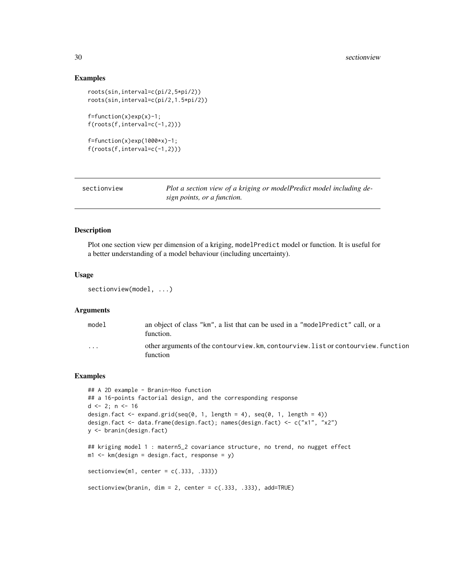#### Examples

```
roots(sin,interval=c(pi/2,5*pi/2))
roots(sin,interval=c(pi/2,1.5*pi/2))
f=function(x)exp(x)-1;
f(roots(f,interval=c(-1,2)))
f=function(x)exp(1000*x)-1;f(roots(f,interval=c(-1,2)))
```
<span id="page-29-1"></span>

| sectionview | Plot a section view of a kriging or modelPredict model including de- |
|-------------|----------------------------------------------------------------------|
|             | sign points, or a function.                                          |

#### Description

Plot one section view per dimension of a kriging, modelPredict model or function. It is useful for a better understanding of a model behaviour (including uncertainty).

#### Usage

```
sectionview(model, ...)
```
## Arguments

| model | an object of class "km", a list that can be used in a "model Predict" call, or a<br>function.  |
|-------|------------------------------------------------------------------------------------------------|
| .     | other arguments of the contourview. km, contourview. list or contourview. function<br>function |

```
## A 2D example - Branin-Hoo function
## a 16-points factorial design, and the corresponding response
d \leq 2; n \leq -16design.fact \leq expand.grid(seq(0, 1, length = 4), seq(0, 1, length = 4))
design.fact <- data.frame(design.fact); names(design.fact) <- c("x1", "x2")
y <- branin(design.fact)
## kriging model 1 : matern5_2 covariance structure, no trend, no nugget effect
m1 <- km(design = design.fact, response = y)
sectionview(m1, center = c(.333, .333))sectionview(branin, dim = 2, center = c(.333, .333), add=TRUE)
```
<span id="page-29-0"></span>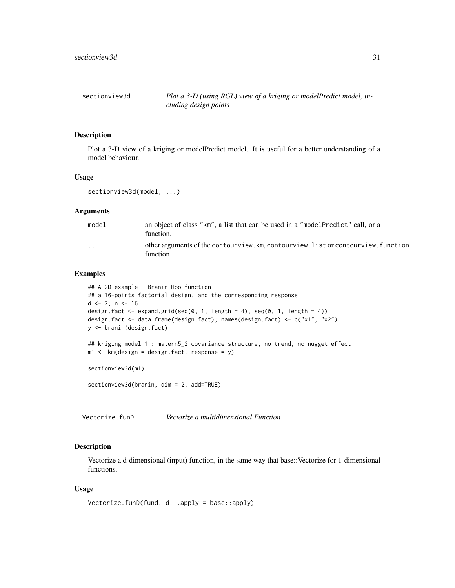<span id="page-30-1"></span><span id="page-30-0"></span>

## Description

Plot a 3-D view of a kriging or modelPredict model. It is useful for a better understanding of a model behaviour.

#### Usage

```
sectionview3d(model, ...)
```
#### Arguments

| model                   | an object of class "km", a list that can be used in a "model Predict" call, or a<br>function.  |
|-------------------------|------------------------------------------------------------------------------------------------|
| $\cdot$ $\cdot$ $\cdot$ | other arguments of the contourview. km, contourview. list or contourview. function<br>function |

## Examples

```
## A 2D example - Branin-Hoo function
## a 16-points factorial design, and the corresponding response
d \le -2; n \le -16design.fact <- expand.grid(seq(0, 1, length = 4), seq(0, 1, length = 4))
design.fact <- data.frame(design.fact); names(design.fact) <- c("x1", "x2")
y <- branin(design.fact)
## kriging model 1 : matern5_2 covariance structure, no trend, no nugget effect
m1 <- km(design = design.fact, response = y)
sectionview3d(m1)
sectionview3d(branin, dim = 2, add=TRUE)
```
Vectorize.funD *Vectorize a multidimensional Function*

#### Description

Vectorize a d-dimensional (input) function, in the same way that base::Vectorize for 1-dimensional functions.

#### Usage

```
Vectorize.funD(fund, d, .apply = base::apply)
```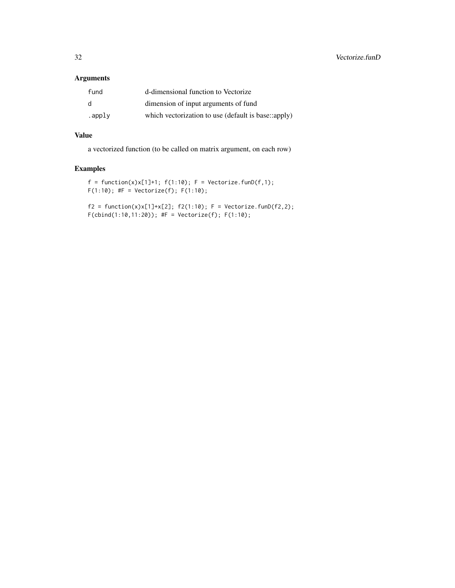## Arguments

| fund   | d-dimensional function to Vectorize                 |
|--------|-----------------------------------------------------|
| d      | dimension of input arguments of fund                |
| .apply | which vectorization to use (default is base::apply) |

## Value

a vectorized function (to be called on matrix argument, on each row)

## Examples

```
f = function(x)x[1]+1; f(1:10); F = Vectorize.find(f,1);F(1:10); #F = Vectorize(f); F(1:10);
```
 $f2 = function(x)x[1]+x[2]; f2(1:10); F = Vectorize.find(f2,2);$  $F$ (cbind(1:10,11:20)); #F = Vectorize(f);  $F(1:10)$ ;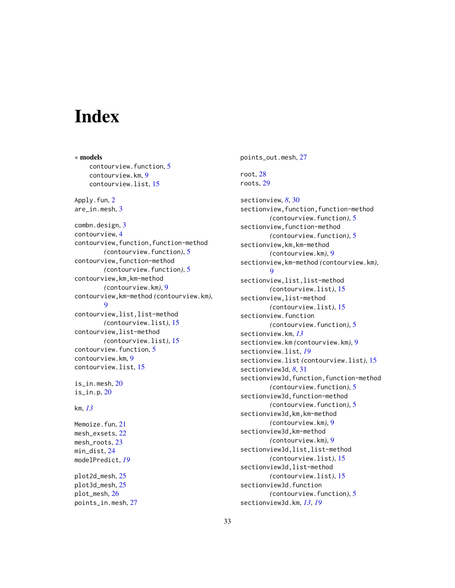# <span id="page-32-0"></span>Index

∗ models contourview.function, [5](#page-4-0) contourview.km, [9](#page-8-0) contourview.list, [15](#page-14-0) Apply.fun, [2](#page-1-0) are\_in.mesh, [3](#page-2-0) combn.design, [3](#page-2-0) contourview, [4](#page-3-0) contourview,function,function-method *(*contourview.function*)*, [5](#page-4-0) contourview,function-method *(*contourview.function*)*, [5](#page-4-0) contourview,km,km-method *(*contourview.km*)*, [9](#page-8-0) contourview,km-method *(*contourview.km*)*, [9](#page-8-0) contourview,list,list-method *(*contourview.list*)*, [15](#page-14-0) contourview,list-method *(*contourview.list*)*, [15](#page-14-0) contourview.function, [5](#page-4-0) contourview.km, [9](#page-8-0) contourview.list, [15](#page-14-0) is\_in.mesh, [20](#page-19-0) is\_in.p, [20](#page-19-0) km, *[13](#page-12-0)*

Memoize.fun, [21](#page-20-0) mesh\_exsets, [22](#page-21-0) mesh\_roots, [23](#page-22-0) min\_dist, [24](#page-23-0) modelPredict, *[19](#page-18-0)*

plot2d\_mesh, [25](#page-24-0) plot3d\_mesh, [25](#page-24-0) plot\_mesh, [26](#page-25-0) points\_in.mesh, [27](#page-26-0) points\_out.mesh, [27](#page-26-0)

```
root, 28
roots, 29
```
sectionview, *[8](#page-7-0)*, [30](#page-29-0) sectionview, function, function-method *(*contourview.function*)*, [5](#page-4-0) sectionview,function-method *(*contourview.function*)*, [5](#page-4-0) sectionview,km,km-method *(*contourview.km*)*, [9](#page-8-0) sectionview,km-method *(*contourview.km*)*, [9](#page-8-0) sectionview,list,list-method *(*contourview.list*)*, [15](#page-14-0) sectionview,list-method *(*contourview.list*)*, [15](#page-14-0) sectionview.function *(*contourview.function*)*, [5](#page-4-0) sectionview.km, *[13](#page-12-0)* sectionview.km *(*contourview.km*)*, [9](#page-8-0) sectionview.list, *[19](#page-18-0)* sectionview.list *(*contourview.list*)*, [15](#page-14-0) sectionview3d, *[8](#page-7-0)*, [31](#page-30-0) sectionview3d, function, function-method *(*contourview.function*)*, [5](#page-4-0) sectionview3d,function-method *(*contourview.function*)*, [5](#page-4-0) sectionview3d,km,km-method *(*contourview.km*)*, [9](#page-8-0) sectionview3d,km-method *(*contourview.km*)*, [9](#page-8-0) sectionview3d,list,list-method *(*contourview.list*)*, [15](#page-14-0) sectionview3d,list-method *(*contourview.list*)*, [15](#page-14-0) sectionview3d.function *(*contourview.function*)*, [5](#page-4-0) sectionview3d.km, *[13](#page-12-0)*, *[19](#page-18-0)*